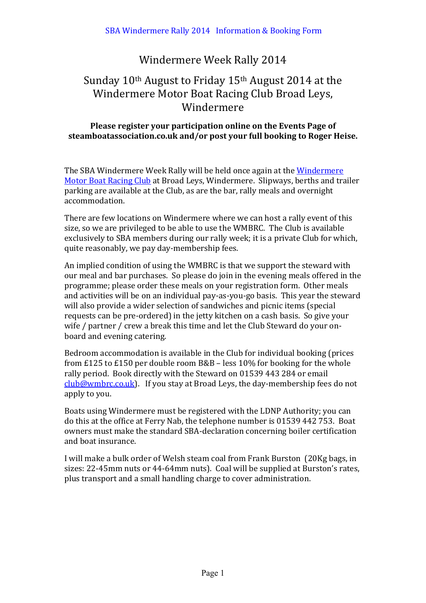### Windermere Week Rally 2014

## Sunday  $10<sup>th</sup>$  August to Friday  $15<sup>th</sup>$  August 2014 at the Windermere Motor Boat Racing Club Broad Leys, Windermere

### **Please register your participation online on the Events Page of** steamboatassociation.co.uk and/or post your full booking to Roger Heise.

The SBA Windermere Week Rally will be held once again at the Windermere Motor Boat Racing Club at Broad Leys, Windermere. Slipways, berths and trailer parking are available at the Club, as are the bar, rally meals and overnight accommodation. 

There are few locations on Windermere where we can host a rally event of this size, so we are privileged to be able to use the WMBRC. The Club is available exclusively to SBA members during our rally week; it is a private Club for which, quite reasonably, we pay day-membership fees.

An implied condition of using the WMBRC is that we support the steward with our meal and bar purchases. So please do join in the evening meals offered in the programme; please order these meals on your registration form. Other meals and activities will be on an individual pay-as-you-go basis. This year the steward will also provide a wider selection of sandwiches and picnic items (special requests can be pre-ordered) in the jetty kitchen on a cash basis. So give your wife / partner / crew a break this time and let the Club Steward do your onboard and evening catering.

Bedroom accommodation is available in the Club for individual booking (prices from £125 to £150 per double room  $B&B$  – less 10% for booking for the whole rally period. Book directly with the Steward on 01539 443 284 or email  $\frac{\text{club@wmbrc.co.uk}}{\text{club@wmbrc.co.uk}}$ . If you stay at Broad Leys, the day-membership fees do not apply to you.

Boats using Windermere must be registered with the LDNP Authority; you can do this at the office at Ferry Nab, the telephone number is 01539 442 753. Boat owners must make the standard SBA-declaration concerning boiler certification and boat insurance.

I will make a bulk order of Welsh steam coal from Frank Burston (20Kg bags, in sizes: 22-45mm nuts or 44-64mm nuts). Coal will be supplied at Burston's rates, plus transport and a small handling charge to cover administration.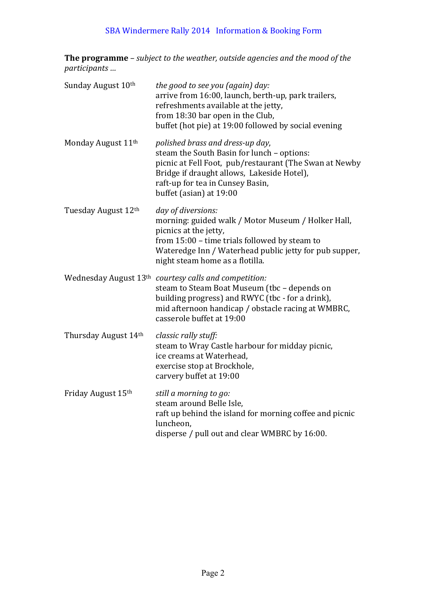### SBA Windermere Rally 2014 Information & Booking Form

**The programme** – *subject to the weather, outside agencies and the mood of the participants ...* 

| Sunday August 10th             | the good to see you (again) day:<br>arrive from 16:00, launch, berth-up, park trailers,<br>refreshments available at the jetty,<br>from 18:30 bar open in the Club,<br>buffet (hot pie) at 19:00 followed by social evening                           |
|--------------------------------|-------------------------------------------------------------------------------------------------------------------------------------------------------------------------------------------------------------------------------------------------------|
| Monday August 11 <sup>th</sup> | polished brass and dress-up day,<br>steam the South Basin for lunch - options:<br>picnic at Fell Foot, pub/restaurant (The Swan at Newby<br>Bridge if draught allows, Lakeside Hotel),<br>raft-up for tea in Cunsey Basin,<br>buffet (asian) at 19:00 |
| Tuesday August 12th            | day of diversions:<br>morning: guided walk / Motor Museum / Holker Hall,<br>picnics at the jetty,<br>from 15:00 - time trials followed by steam to<br>Wateredge Inn / Waterhead public jetty for pub supper,<br>night steam home as a flotilla.       |
|                                | Wednesday August 13th courtesy calls and competition:<br>steam to Steam Boat Museum (tbc - depends on<br>building progress) and RWYC (tbc - for a drink),<br>mid afternoon handicap / obstacle racing at WMBRC,<br>casserole buffet at 19:00          |
| Thursday August 14th           | classic rally stuff:<br>steam to Wray Castle harbour for midday picnic,<br>ice creams at Waterhead,<br>exercise stop at Brockhole,<br>carvery buffet at 19:00                                                                                         |
| Friday August 15th             | still a morning to go:<br>steam around Belle Isle,<br>raft up behind the island for morning coffee and picnic<br>luncheon,<br>disperse / pull out and clear WMBRC by 16:00.                                                                           |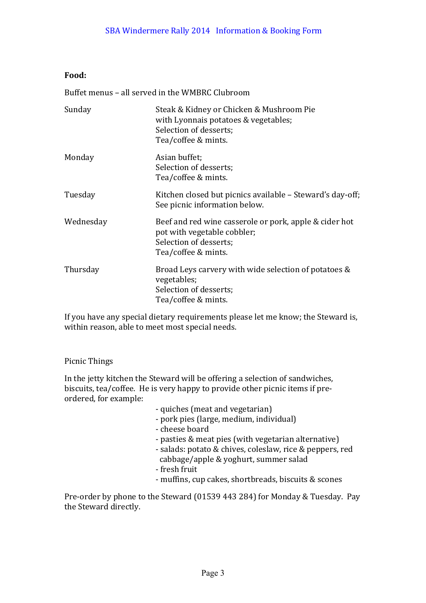### **Food:**

Buffet menus – all served in the WMBRC Clubroom

| Sunday    | Steak & Kidney or Chicken & Mushroom Pie<br>with Lyonnais potatoes & vegetables;<br>Selection of desserts;<br>Tea/coffee & mints.      |
|-----------|----------------------------------------------------------------------------------------------------------------------------------------|
| Monday    | Asian buffet;<br>Selection of desserts;<br>Tea/coffee & mints.                                                                         |
| Tuesday   | Kitchen closed but picnics available – Steward's day-off;<br>See picnic information below.                                             |
| Wednesday | Beef and red wine casserole or pork, apple & cider hot<br>pot with vegetable cobbler;<br>Selection of desserts;<br>Tea/coffee & mints. |
| Thursday  | Broad Leys carvery with wide selection of potatoes &<br>vegetables;<br>Selection of desserts;<br>Tea/coffee & mints.                   |

If you have any special dietary requirements please let me know; the Steward is, within reason, able to meet most special needs.

### Picnic Things

In the jetty kitchen the Steward will be offering a selection of sandwiches, biscuits, tea/coffee. He is very happy to provide other picnic items if preordered, for example:

- quiches (meat and vegetarian)
- pork pies (large, medium, individual)
- cheese board
- pasties & meat pies (with vegetarian alternative)
- salads: potato & chives, coleslaw, rice & peppers, red cabbage/apple & yoghurt, summer salad
- fresh fruit
- muffins, cup cakes, shortbreads, biscuits & scones

Pre-order by phone to the Steward (01539 443 284) for Monday & Tuesday. Pay the Steward directly.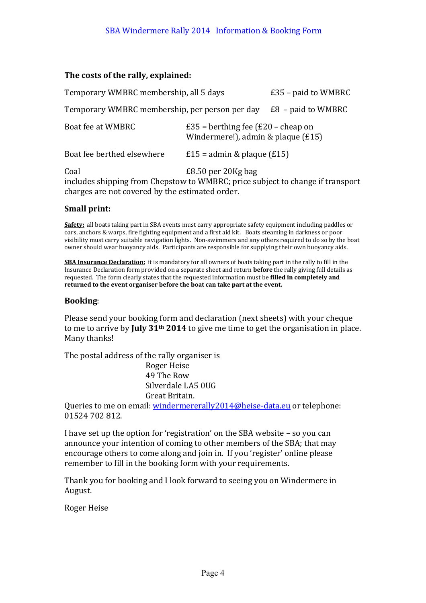#### The costs of the rally, explained:

| Temporary WMBRC membership, all 5 days                                                                                                    |                                                                                    | $£35$ – paid to WMBRC |  |
|-------------------------------------------------------------------------------------------------------------------------------------------|------------------------------------------------------------------------------------|-----------------------|--|
| Temporary WMBRC membership, per person per day                                                                                            |                                                                                    | $E8$ – paid to WMBRC  |  |
| Boat fee at WMBRC                                                                                                                         | £35 = berthing fee $(E20 - \text{cheap on})$<br>Windermere!), admin & plaque (£15) |                       |  |
| Boat fee berthed elsewhere                                                                                                                | £15 = admin & plaque $(£15)$                                                       |                       |  |
| Coal<br>includes shipping from Chepstow to WMBRC; price subject to change if transport<br>charges are not covered by the estimated order. | £8.50 per 20Kg bag                                                                 |                       |  |

#### **Small print:**

**Safety:** all boats taking part in SBA events must carry appropriate safety equipment including paddles or oars, anchors & warps, fire fighting equipment and a first aid kit. Boats steaming in darkness or poor visibility must carry suitable navigation lights. Non-swimmers and any others required to do so by the boat owner should wear buoyancy aids. Participants are responsible for supplying their own buoyancy aids.

**SBA Insurance Declaration:** it is mandatory for all owners of boats taking part in the rally to fill in the Insurance Declaration form provided on a separate sheet and return **before** the rally giving full details as requested. The form clearly states that the requested information must be **filled in completely and** returned to the event organiser before the boat can take part at the event.

#### **Booking**:

Please send your booking form and declaration (next sheets) with your cheque to me to arrive by **July 31<sup>th</sup>** 2014 to give me time to get the organisation in place. Many thanks!

The postal address of the rally organiser is

Roger Heise 49 The Row Silverdale LA5 0UG Great Britain.

Queries to me on email: windermererally2014@heise-data.eu or telephone: 01524 702 812.

I have set up the option for 'registration' on the SBA website  $-$  so you can announce your intention of coming to other members of the SBA; that may encourage others to come along and join in. If you 'register' online please remember to fill in the booking form with your requirements.

Thank you for booking and I look forward to seeing you on Windermere in August.

Roger Heise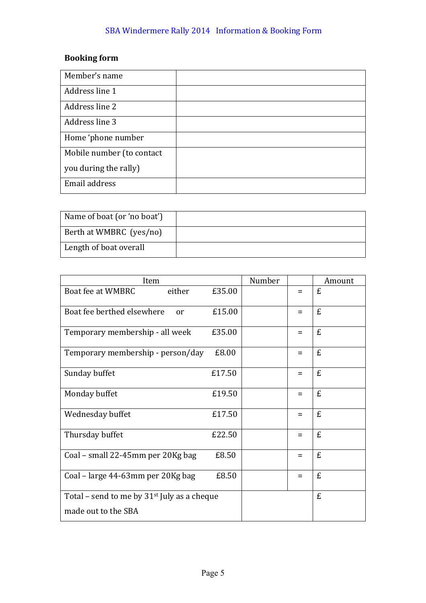## SBA Windermere Rally 2014 Information & Booking Form

## **Booking** form

| Member's name             |  |
|---------------------------|--|
| Address line 1            |  |
| Address line 2            |  |
| Address line 3            |  |
| Home 'phone number        |  |
| Mobile number (to contact |  |
| you during the rally)     |  |
| Email address             |  |

| Name of boat (or 'no boat') |  |
|-----------------------------|--|
| Berth at WMBRC (yes/no)     |  |
| Length of boat overall      |  |

| Item                                          |        | Number |     | Amount |
|-----------------------------------------------|--------|--------|-----|--------|
| Boat fee at WMBRC<br>either                   | £35.00 |        | $=$ | £      |
| Boat fee berthed elsewhere<br>or              | £15.00 |        | $=$ | £      |
| Temporary membership - all week               | £35.00 |        | $=$ | £      |
| Temporary membership - person/day             | £8.00  |        | $=$ | £      |
| Sunday buffet                                 | £17.50 |        | $=$ | £      |
| Monday buffet                                 | £19.50 |        | $=$ | £      |
| Wednesday buffet                              | £17.50 |        | $=$ | £      |
| Thursday buffet                               | £22.50 |        | $=$ | £      |
| Coal - small 22-45mm per 20Kg bag             | £8.50  |        | $=$ | £      |
| Coal – large 44-63mm per 20Kg bag             | £8.50  |        | $=$ | £      |
| Total – send to me by $31st$ July as a cheque |        |        |     | £      |
| made out to the SBA                           |        |        |     |        |